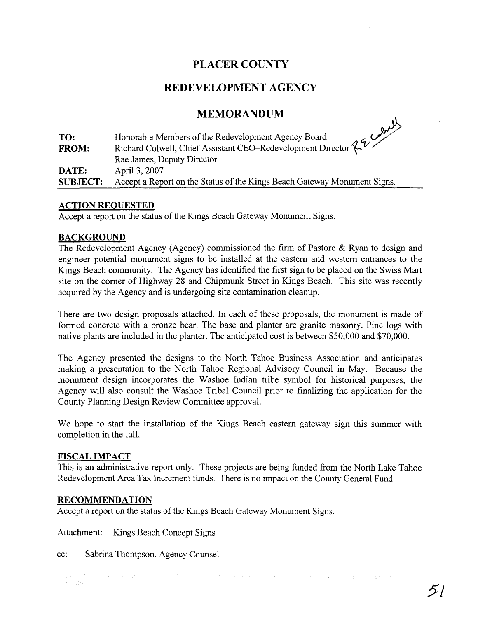# **PLACER COUNTY**

## **REDEVELOPMENT AGENCY**

### **MEMORANDUM**

| TO:             |                                                                          |
|-----------------|--------------------------------------------------------------------------|
| <b>FROM:</b>    |                                                                          |
|                 | Richard Colwell, Chief Assistant CEO–Redevelopment Director 22           |
| DATE:           | April 3, 2007                                                            |
| <b>SUBJECT:</b> | Accept a Report on the Status of the Kings Beach Gateway Monument Signs. |

#### **ACTION REQUESTED**

Accept a report on the status of the Kings Beach Gateway Monument Signs.

#### **BACKGROUND**

The Redevelopment Agency (Agency) commissioned the firm of Pastore & Ryan to design and engineer potential monument signs to be installed at the eastern and western entrances to the Kings Beach community. The Agency has identified the first sign to be placed on the Swiss Mart site on the comer of Highway 28 and Chipmunk Street in Kings Beach. This site was recently acquired by the Agency and is undergoing site contamination cleanup.

There are two design proposals attached. In each of these proposals, the monument is made of formed concrete with a bronze bear. The base and planter are granite masonry. Pine logs with native plants are included in the planter. The anticipated cost is between \$50,000 and \$70,000.

The Agency presented the designs to the North Tahoe Business Association and anticipates making a presentation to the North Tahoe Regional Advisory Council in May. Because the monument design incorporates the Washoe Indian tribe symbol for historical purposes, the Agency will also consult the Washoe Tribal Council prior to finalizing the application for the County Planning Design Review Committee approval.

We hope to start the installation of the Kings Beach eastern gateway sign this summer with completion in the fall.

#### **FISCAL IMPACT**

This is an administrative report only. These projects are being funded from the North Lake Tahoe Redevelopment Area Tax Increment funds. There is no impact on the County General Fund.

### **RECOMMENDATION**

Accept a report on the status of the Kings Beach Gateway Monument Signs.

Attachment: Kings Beach Concept Signs

cc: Sabrina Thompson, Agency Counsel

人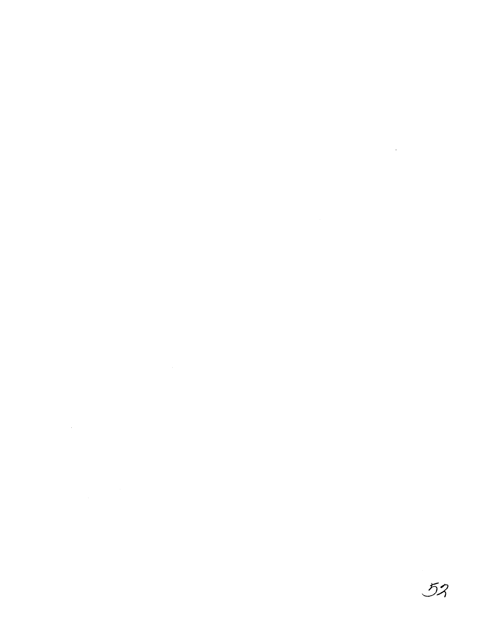$\mathcal{L}^{\text{max}}_{\text{max}}$  and  $\mathcal{L}^{\text{max}}_{\text{max}}$ 

 $\label{eq:2.1} \frac{1}{\sqrt{2}}\int_{\mathbb{R}^3}\frac{1}{\sqrt{2}}\left(\frac{1}{\sqrt{2}}\right)^2\frac{1}{\sqrt{2}}\left(\frac{1}{\sqrt{2}}\right)^2\frac{1}{\sqrt{2}}\left(\frac{1}{\sqrt{2}}\right)^2.$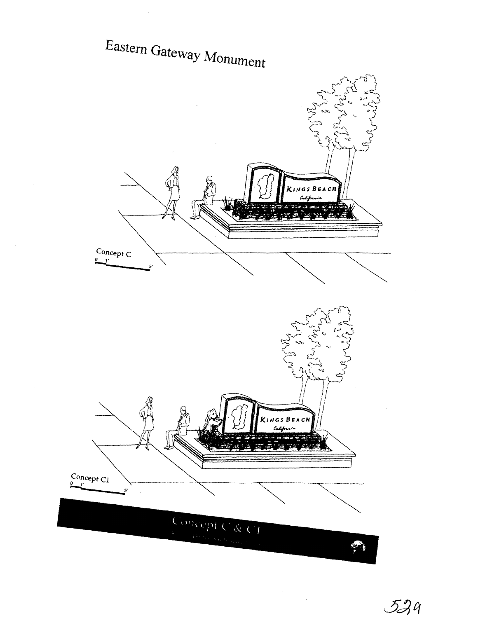